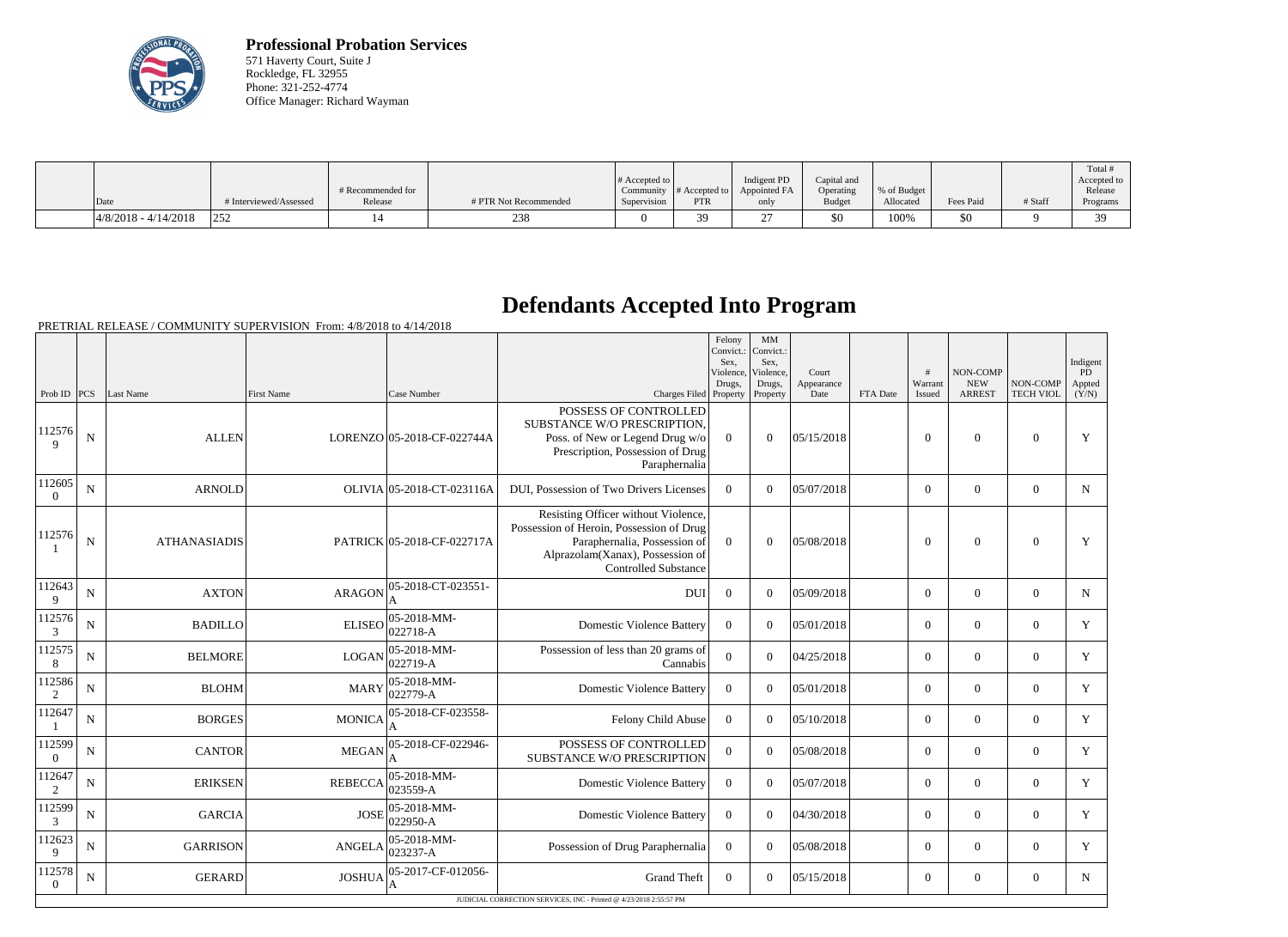

**Professional Probation Services** 571 Haverty Court, Suite J Rockledge, FL 32955 Phone: 321-252-4774 Office Manager: Richard Wayman

|                         |                      |                              |                       | $\#$ Accepted to |                                                     | Indigent PD  | Capital and   |                          |           |         | Total<br>Accepted to |
|-------------------------|----------------------|------------------------------|-----------------------|------------------|-----------------------------------------------------|--------------|---------------|--------------------------|-----------|---------|----------------------|
| Date                    | Interviewed/Assessed | # Recommended for<br>Release | # PTR Not Recommended | Supervision      | $\mid$ Community # Accepted to $\mid$<br><b>PTR</b> | Appointed FA | Operating     | % of Budget<br>Allocated | Fees Paid | # Staff | Release              |
|                         |                      |                              |                       |                  |                                                     | only         | <b>Budget</b> |                          |           |         | Programs             |
| $ 4/8/2018 - 4/14/2018$ | ר בר<br>ے بے ا       |                              | 238                   |                  |                                                     |              | \$0           | 100%                     | \$0       |         | 20                   |

## **Defendants Accepted Into Program**

PRETRIAL RELEASE / COMMUNITY SUPERVISION From: 4/8/2018 to 4/14/2018

|                          |             |                     |                |                                    |                                                                                                                                                                                    | Felony<br>Convict.:<br>Sex.<br>Violence, | MM<br>Convict.:<br>Sex.<br>Violence, | Court              |          | #                 | NON-COMP                    |                              | Indigent<br>PD  |
|--------------------------|-------------|---------------------|----------------|------------------------------------|------------------------------------------------------------------------------------------------------------------------------------------------------------------------------------|------------------------------------------|--------------------------------------|--------------------|----------|-------------------|-----------------------------|------------------------------|-----------------|
| Prob ID $ PCS $          |             | Last Name           | First Name     | Case Number                        | Charges Filed Property                                                                                                                                                             | Drugs,                                   | Drugs,<br>Property                   | Appearance<br>Date | FTA Date | Warrant<br>Issued | <b>NEW</b><br><b>ARREST</b> | NON-COMP<br><b>TECH VIOL</b> | Appted<br>(Y/N) |
| 112576<br>$\mathbf Q$    | $\mathbf N$ | <b>ALLEN</b>        |                | LORENZO 05-2018-CF-022744A         | POSSESS OF CONTROLLED<br>SUBSTANCE W/O PRESCRIPTION,<br>Poss. of New or Legend Drug w/o<br>Prescription, Possession of Drug<br>Paraphernalia                                       | $\Omega$                                 | $\Omega$                             | 05/15/2018         |          | $\Omega$          | $\mathbf{0}$                | $\Omega$                     | Y               |
| 112605<br>$\theta$       | $\mathbf N$ | <b>ARNOLD</b>       |                | OLIVIA 05-2018-CT-023116A          | DUI, Possession of Two Drivers Licenses                                                                                                                                            | $\Omega$                                 | $\Omega$                             | 05/07/2018         |          | $\Omega$          | $\boldsymbol{0}$            | $\boldsymbol{0}$             | $\mathbf N$     |
| 112576                   | ${\bf N}$   | <b>ATHANASIADIS</b> |                | PATRICK 05-2018-CF-022717A         | Resisting Officer without Violence,<br>Possession of Heroin, Possession of Drug<br>Paraphernalia, Possession of<br>Alprazolam(Xanax), Possession of<br><b>Controlled Substance</b> | $\overline{0}$                           | $\Omega$                             | 05/08/2018         |          | $\Omega$          | $\mathbf{0}$                | $\mathbf{0}$                 | $\mathbf Y$     |
| 112643<br>9              | $\mathbf N$ | <b>AXTON</b>        | <b>ARAGON</b>  | 05-2018-CT-023551-<br>А            | <b>DUI</b>                                                                                                                                                                         | $\overline{0}$                           | $\overline{0}$                       | 05/09/2018         |          | $\overline{0}$    | $\mathbf{0}$                | $\mathbf{0}$                 | N               |
| 112576<br>3              | ${\bf N}$   | <b>BADILLO</b>      | <b>ELISEO</b>  | $ 05 - 2018 - MM -$<br>$ 022718-A$ | <b>Domestic Violence Battery</b>                                                                                                                                                   | $\overline{0}$                           | $\Omega$                             | 05/01/2018         |          | $\Omega$          | $\boldsymbol{0}$            | $\theta$                     | Y               |
| 112575<br>8              | ${\bf N}$   | <b>BELMORE</b>      | <b>LOGAN</b>   | $ 05 - 2018 - MM -$<br>022719-A    | Possession of less than 20 grams of<br>Cannabis                                                                                                                                    | $\overline{0}$                           | $\Omega$                             | 04/25/2018         |          | $\Omega$          | $\boldsymbol{0}$            | $\theta$                     | Y               |
| 112586<br>2              | $\mathbf N$ | <b>BLOHM</b>        | <b>MARY</b>    | $ 05 - 2018 - MM -$<br>022779-A    | <b>Domestic Violence Battery</b>                                                                                                                                                   | $\theta$                                 | $\Omega$                             | 05/01/2018         |          | $\Omega$          | $\boldsymbol{0}$            | $\Omega$                     | Y               |
| 112647                   | ${\bf N}$   | <b>BORGES</b>       | <b>MONICA</b>  | 05-2018-CF-023558-                 | Felony Child Abuse                                                                                                                                                                 | $\overline{0}$                           | $\mathbf{0}$                         | 05/10/2018         |          | $\Omega$          | $\boldsymbol{0}$            | $\boldsymbol{0}$             | Y               |
| 112599<br>$\theta$       | N           | <b>CANTOR</b>       | <b>MEGAN</b>   | 05-2018-CF-022946-                 | POSSESS OF CONTROLLED<br>SUBSTANCE W/O PRESCRIPTION                                                                                                                                | $\overline{0}$                           | $\Omega$                             | 05/08/2018         |          | $\Omega$          | $\theta$                    | $\Omega$                     | Y               |
| 112647<br>2              | $\mathbf N$ | <b>ERIKSEN</b>      | <b>REBECCA</b> | $ 05-2018-MM -$<br>023559-A        | <b>Domestic Violence Battery</b>                                                                                                                                                   | $\overline{0}$                           | $\Omega$                             | 05/07/2018         |          | $\mathbf{0}$      | $\mathbf{0}$                | $\mathbf{0}$                 | Y               |
| 112599<br>3              | ${\bf N}$   | <b>GARCIA</b>       | <b>JOSE</b>    | 05-2018-MM-<br>022950-A            | <b>Domestic Violence Battery</b>                                                                                                                                                   | $\overline{0}$                           | $\Omega$                             | 04/30/2018         |          | $\Omega$          | $\theta$                    | $\theta$                     | Y               |
| 112623<br>9              | ${\bf N}$   | <b>GARRISON</b>     | <b>ANGELA</b>  | $ 05 - 2018 - MM -$<br>023237-A    | Possession of Drug Paraphernalia                                                                                                                                                   | $\overline{0}$                           | $\Omega$                             | 05/08/2018         |          | $\Omega$          | $\mathbf{0}$                | $\overline{0}$               | Y               |
| 112578<br>$\overline{0}$ | ${\bf N}$   | <b>GERARD</b>       | <b>JOSHUA</b>  | 05-2017-CF-012056-<br>A            | <b>Grand Theft</b>                                                                                                                                                                 | $\overline{0}$                           | $\Omega$                             | 05/15/2018         |          | $\Omega$          | $\boldsymbol{0}$            | $\overline{0}$               | $\mathbf N$     |
|                          |             |                     |                |                                    | JUDICIAL CORRECTION SERVICES, INC - Printed @ 4/23/2018 2:55:57 PM                                                                                                                 |                                          |                                      |                    |          |                   |                             |                              |                 |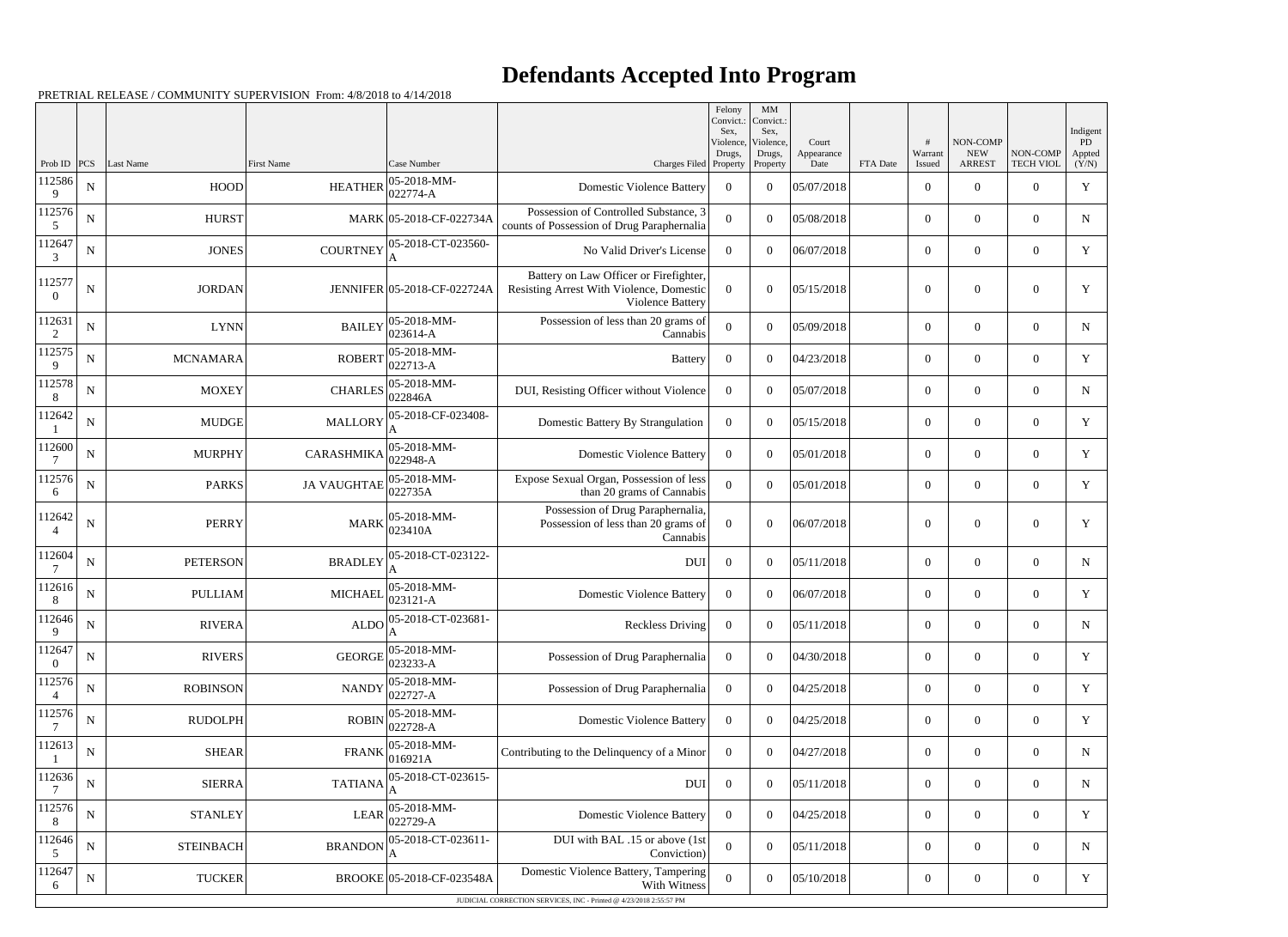## **Defendants Accepted Into Program**

Prob ID | PCS | Last Name | First Name | Case Number | Case Number | Case Number | Charges Filed Felony Convict.: Sex, Violence Drugs, Property MM Convict. Sex, Violence, Drugs, Property Court Appearance<br>Date FTA Date # Warrant Issued NON-COMP NEW ARREST NON-COMP TECH VIOL Indigent PD Appted  $(Y/N)$ 112586 9  $N \parallel$   $HOOD \parallel$   $HEATHER \parallel_{0.22774 \text{ A}}^{0.5-2018-MM-1}$ 022774-A Domestic Violence Battery <sup>0</sup> <sup>0</sup> 05/07/2018 <sup>0</sup> <sup>0</sup> <sup>0</sup> <sup>Y</sup> 112576 5 N HURST MARK 05-2018-CF-022734A Possession of Controlled Substance, 3 counts of Possession of Drug Paraphernalia <sup>0</sup> <sup>0</sup> 05/08/2018 <sup>0</sup> <sup>0</sup> <sup>0</sup> <sup>N</sup> 112647 3  $N$  JONES COURTNEY  $05$ -2018-CT-023560-A No Valid Driver's License 0 0 06/07/2018 0 0 0 Y 112577 0 N | JORDAN JENNIFER 05-2018-CF-022724A Battery on Law Officer or Firefighter, Resisting Arrest With Violence, Domestic Violence Battery  $0 \t 0 \t 05/15/2018$  0 0 0 Y 112631 2  $N$  LYNN BAILEY 05-2018-MM-023614-A Possession of less than 20 grams of  $\begin{bmatrix} \text{Sianis of} \\ \text{Cannabis} \end{bmatrix}$  0 0 05/09/2018 0 0 0 0 0 N 112575 9  $N$  MCNAMARA ROBERT 05-2018-MM-<br>ROBERT 022713-A 022713-A Battery <sup>0</sup> <sup>0</sup> 04/23/2018 <sup>0</sup> <sup>0</sup> <sup>0</sup> <sup>Y</sup> 112578 8  $N \parallel$  MOXEY CHARLES  $\begin{array}{c} 05\text{-}2018\text{-}MM\text{-} \\ 032846 \text{ A} \end{array}$ 05-2018-MM-<br>022846A DUI, Resisting Officer without Violence 0 0 05/07/2018 0 0 0 0 0 0 0 N 112642 1  $N$  MUDGE MALLORY 05-2018-CF-023408-A Domestic Battery By Strangulation 0 0 05/15/2018 0 0 0 Y 112600 7  $N$  MURPHY CARASHMIKA  $05-2018-MM-$ 022948-A Domestic Violence Battery <sup>0</sup> <sup>0</sup> 05/01/2018 <sup>0</sup> <sup>0</sup> <sup>0</sup> <sup>Y</sup> 112576 6  $N$  PARKS JA VAUGHTAE 05-2018-MM-022735A Expose Sexual Organ, Possession of less than 20 grams of Cannabis <sup>0</sup> <sup>0</sup> 05/01/2018 <sup>0</sup> <sup>0</sup> <sup>0</sup> <sup>Y</sup> 112642 4  $N \parallel$  PERRY MARK 05-2018-MM-023410A Possession of Drug Paraphernalia, Possession of less than 20 grams of Cannabis  $0 \t 0 \t 06/07/2018$  0 0 0 y 112604 7  $N$  PETERSON BRADLEY 05-2018-CT-023122-A DUI 0 0 05/11/2018 0 0 0 N 112616 8  $N$  PULLIAM MICHAEL  $\begin{bmatrix} 05-2018\text{-}MM-\end{bmatrix}$ 023121-A Domestic Violence Battery <sup>0</sup> <sup>0</sup> 06/07/2018 <sup>0</sup> <sup>0</sup> <sup>0</sup> <sup>Y</sup> 112646 9  $N$  RIVERA  $\Delta$  ALDO 05-2018-CT-023681-A Reckless Driving  $\begin{array}{ccc|c} 0 & 0 & 0.05/11/2018 \\ 0 & 0 & 0 \end{array}$  0 0  $\begin{array}{ccc|c} 0 & 0 & 0 \\ 0 & 0 & 0 \end{array}$ 112647 0  $N \begin{array}{c|c} \hline \text{N} & \text{RIVERS} \end{array}$  GEORGE 05-2018-MM-<br>GEORGE 023233-A 023233-A Possession of Drug Paraphernalia <sup>0</sup> <sup>0</sup> 04/30/2018 <sup>0</sup> <sup>0</sup> <sup>0</sup> <sup>Y</sup> 112576 4  $N \begin{bmatrix} \text{N} & \text{N} \\ \text{N} & \text{N} \end{bmatrix}$  NANDY  $\begin{bmatrix} 05\text{-}2018\text{-}M\text{M} \\ 022727\text{-}A \end{bmatrix}$ Possession of Drug Paraphernalia  $\begin{array}{|c|c|c|c|c|c|c|c|c|} \hline 0&0&0&0&0&0&0&\end{array}$ 112576 7  $N \begin{bmatrix} \text{N} & \text{RUDOLPH} \\ \text{N} & \text{ROBIN} \end{bmatrix}$  (05-2018-MM-022728-A Domestic Violence Battery <sup>0</sup> <sup>0</sup> 04/25/2018 <sup>0</sup> <sup>0</sup> <sup>0</sup> <sup>Y</sup> 112613 1  $N \parallel$  SHEAR  $\parallel$  FRANK  $\parallel$  05-2018-MM-<br>FRANK  $\parallel$  016921A 016921A Contributing to the Delinquency of a Minor <sup>0</sup> <sup>0</sup> 04/27/2018 <sup>0</sup> <sup>0</sup> <sup>0</sup> <sup>N</sup> 112636 7  $N \parallel$  SIERRA TATIANA 05-2018-CT-023615-A DUI 0 0 05/11/2018 0 0 0 N 112576 8  $N \parallel$  STANLEY LEAR  $05\text{-}2018\text{-}MM\text{-}$ 05-2018-MM-<br>022729-A Domestic Violence Battery 0 0 04/25/2018 0 0 0 0 0 0  $\rightarrow$  7 112646 5  $N$  STEINBACH BRANDON 05-2018-CT-023611-A DUI with BAL .15 or above (1st Conviction)  $0 \t 0 \t 05/11/2018$  0 0 0 0 N 112647 6 N TUCKER BROOKE 05-2018-CF-023548A Domestic Violence Battery, Tampering With Witness 0 0 05/10/2018 0 0 0 0 0  $\frac{1}{2}$ JUDICIAL CORRECTION SERVICES, INC - Printed @ 4/23/2018 2:55:57 PM

PRETRIAL RELEASE / COMMUNITY SUPERVISION From: 4/8/2018 to 4/14/2018